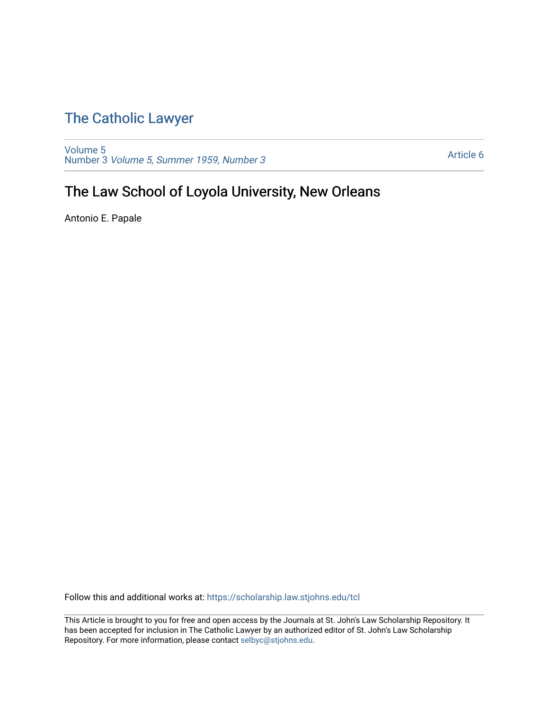## [The Catholic Lawyer](https://scholarship.law.stjohns.edu/tcl)

[Volume 5](https://scholarship.law.stjohns.edu/tcl/vol5) Number 3 [Volume 5, Summer 1959, Number 3](https://scholarship.law.stjohns.edu/tcl/vol5/iss3) 

[Article 6](https://scholarship.law.stjohns.edu/tcl/vol5/iss3/6) 

# The Law School of Loyola University, New Orleans

Antonio E. Papale

Follow this and additional works at: [https://scholarship.law.stjohns.edu/tcl](https://scholarship.law.stjohns.edu/tcl?utm_source=scholarship.law.stjohns.edu%2Ftcl%2Fvol5%2Fiss3%2F6&utm_medium=PDF&utm_campaign=PDFCoverPages) 

This Article is brought to you for free and open access by the Journals at St. John's Law Scholarship Repository. It has been accepted for inclusion in The Catholic Lawyer by an authorized editor of St. John's Law Scholarship Repository. For more information, please contact [selbyc@stjohns.edu.](mailto:selbyc@stjohns.edu)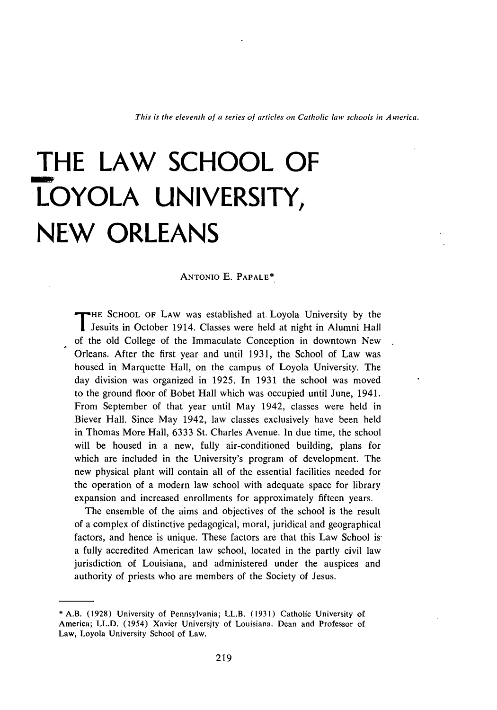# **THE LAW SCHOOL OF LOYOLA UNIVERSITY, NEW ORLEANS**

#### ANTONIO E. PAPALE\*

**T** HE SCHOOL OF LAW was established at, Loyola University by the Jesuits in October 1914. Classes were held at night in Alumni Hall of the old College of the Immaculate Conception in downtown New Orleans. After the first year and until 1931, the School of Law was housed in Marquette Hall, on the campus of Loyola University. The day division was organized in 1925. In 1931 the school was moved to the ground floor of Bobet Hall which was occupied until June, 1941. From September of that year until May 1942, classes were held in Biever Hall. Since May 1942, law classes exclusively have been held in Thomas More Hall, 6333 St. Charles Avenue. In due time, the school will be housed in a new, fully air-conditioned building, plans for which are included in the University's program of development. The new physical plant will contain all of the essential facilities needed for the operation of a modern law school with adequate space for library expansion and increased enrollments for approximately fifteen years.

The ensemble of the aims and objectives of the school is the result of a complex of distinctive pedagogical, moral, juridical and geographical factors, and hence is unique. These factors are that this Law School is a fully accredited American law school, located in the partly civil law jurisdiction of Louisiana, and administered under the auspices and authority of priests who are members of the Society of Jesus.

<sup>\*</sup>A.B. (1928) University of Pennsylvania; LL.B. (1931) Catholic University of America; LL.D. (1954) Xavier University of Louisiana. Dean and Professor of Law, Loyola University School of Law.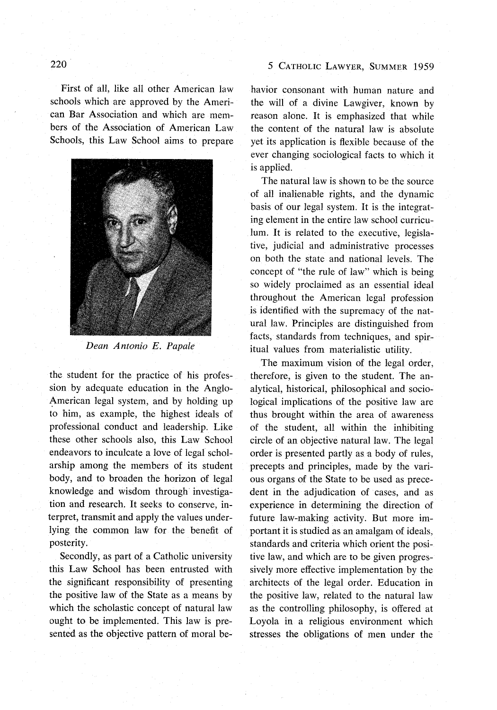#### 5 CATHOLIC LAWYER, SUMMER 1959

First of all, like all other American law schools which are approved by the American Bar Association and which are members of the Association of American Law Schools, this Law School aims to prepare



*Dean Antonio E. Papale*

the student for the practice of his profession by adequate education in the Anglo-American legal system, and by holding up to him, as example, the highest ideals of professional conduct and leadership. Like these other schools also, this Law School endeavors to inculcate a love of legal scholarship among the members of its student body, and to broaden the horizon of legal knowledge and wisdom through investigation and research. It seeks to conserve, interpret, transmit and apply the values underlying the common law for the benefit of posterity.

Secondly, as part of a Catholic university this Law School has been entrusted with the significant responsibility of presenting the positive law of the State as a means by which the scholastic concept of natural law ought to be implemented. This law is presented as the objective pattern of moral behavior consonant with human nature and the will of a divine Lawgiver, known by reason alone. It is emphasized that while the content of the natural law is absolute yet its application is flexible because of the ever changing sociological facts to which it is applied.

The natural law is shown to be the source of all inalienable rights, and the dynamic basis of our legal system. It is the integrating element in the entire law school curriculum. It is related to the executive, legislative, judicial and administrative processes on both the state and national levels. The concept of "the rule of law" which is being so widely proclaimed as an essential ideal throughout the American legal profession is identified with the supremacy of the natural law. Principles are distinguished from facts, standards from techniques, and spiritual values from materialistic utility.

The maximum vision of the legal order, therefore, is given to the student. The analytical, historical, philosophical and sociological implications of the positive law are thus brought within the area of awareness of the student, all within the inhibiting circle of an objective natural law. The legal order is presented partly as a body of rules, precepts and principles, made by the various organs of the State to be used as precedent in the adjudication of cases, and as experience in determining the direction of future law-making activity. But more important it is studied as an amalgam of ideals, standards and criteria which orient the positive law, and which are to be given progressively more effective implementation by the architects of the legal order. Education in the positive law, related to the natural law as the controlling philosophy, is offered at Loyola in a religious environment which stresses the obligations of men under the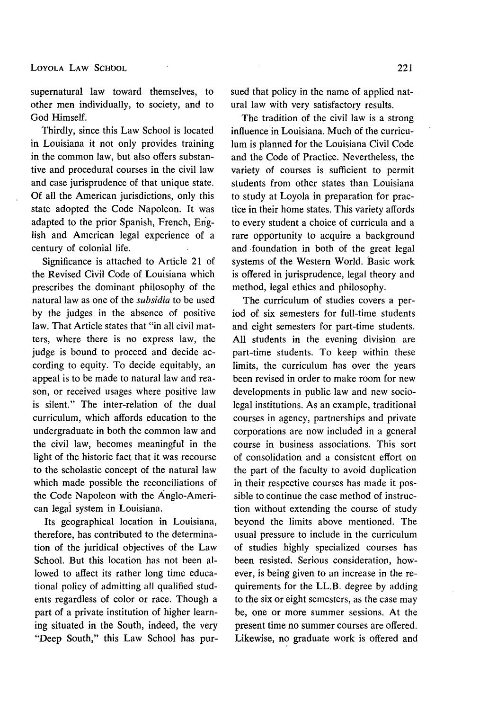supernatural law toward themselves, to other men individually, to society, and to God Himself.

Thirdly, since this Law School is located in Louisiana it not only provides training in the common law, but also offers substantive and procedural courses in the civil law and case jurisprudence of that unique state. Of all the American jurisdictions, only this state adopted the Code Napoleon. It was adapted to the prior Spanish, French, English and American legal experience of a century of colonial life.

Significance is attached to Article 21 of the Revised Civil Code of Louisiana which prescribes the dominant philosophy of the natural law as one of the *subsidia* to be used by the judges in the absence of positive law. That Article states that "in all civil matters, where there is no express law, the judge is bound to proceed and decide according to equity. To decide equitably, an appeal is to be made to natural law and reason, or received usages where positive law is silent." The inter-relation of the dual curriculum, which affords education to the undergraduate in both the common law and the civil law, becomes meaningful in the light of the historic fact that it was recourse to the scholastic concept of the natural law which made possible the reconciliations of the Code Napoleon with the Anglo-American legal system in Louisiana.

Its geographical location in Louisiana, therefore, has contributed to the determination of the juridical objectives of the Law School. But this location has not been allowed to affect its rather long time educational policy of admitting all qualified students regardless of color or race. Though a part of a private institution of higher learning situated in the South, indeed, the very "Deep South," this Law School has pursued that policy in the name of applied natural law with very satisfactory results.

The tradition of the civil law is a strong influence in Louisiana. Much of the curriculum is planned for the Louisiana Civil Code and the Code of Practice. Nevertheless, the variety of courses is sufficient to permit students from other states than Louisiana to study at Loyola in preparation for practice in their home states. This variety affords to every student a choice of curricula and a rare opportunity to acquire a background and foundation in both of the great legal systems of the Western World. Basic work is offered in jurisprudence, legal theory and method, legal ethics and philosophy.

The curriculum of studies covers a period of six semesters for full-time students and eight semesters for part-time students. All students in the evening division are part-time students. To keep within these limits, the curriculum has over the years been revised in order to make room for new developments in public law and new sociolegal institutions. As an example, traditional courses in agency, partnerships and private corporations are now included in a general course in business associations. This sort of consolidation and a consistent effort on the part of the faculty to avoid duplication in their respective courses has made it possible to continue the case method of instruction without extending the course of study beyond the limits above mentioned. The usual pressure to include in the curriculum of studies highly specialized courses has been resisted. Serious consideration, however, is being given to an increase in the requirements for the LL.B. degree by adding to the six or eight semesters, as the case may be, one or more summer sessions. At the present time no summer courses are offered. Likewise, no graduate work is offered and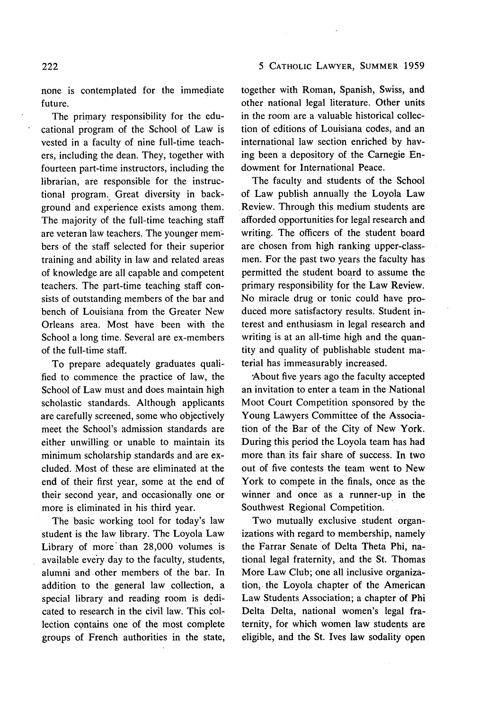## 5 CATHOLIC LAWYER, SUMMER 1959

none is contemplated for the immediate future.

The primary responsibility for the educational program of the School of Law is vested in a faculty of nine full-time teachers, including the dean. They, together with fourteen part-time instructors, including the librarian, are responsible for the instructional program. Great diversity in background and experience exists among them. The majority of the full-time teaching staff are veteran law teachers. The younger members of the staff selected for their superior training and ability in law and related areas of knowledge are all capable and competent teachers. The part-time teaching staff consists of outstanding members of the bar and bench of Louisiana from the Greater New Orleans area. Most have been with the School a long time. Several are ex-members of the full-time staff.

To prepare adequately graduates qualified to commence the practice of law, the School of Law must and does maintain high scholastic standards. Although applicants are carefully screened, some who objectively meet the School's admission standards are either unwilling or unable to maintain its minimum scholarship standards and are excluded. Most of these are eliminated at the end of their first year, some at the end of their second year, and occasionally one or more is eliminated in his third year.

The basic working tool for today's law student is the law library. The Loyola Law Library of more' than 28,000 volumes is available every day to the faculty, students, alumni and other members of the bar. In addition to the general law collection, a special library and reading room is dedicated to research in the civil law. This collection contains one of the most complete groups of French authorities in the state, together with Roman, Spanish, Swiss, and other national legal literature. Other units in the room are a valuable historical collection of editions of Louisiana codes, and an international law section enriched by having been a depository of the Carnegie Endowment for International Peace.

The faculty and students of the School of Law publish annually the Loyola Law Review. Through this medium students are afforded opportunities for legal research and writing. The officers of the student board are chosen from high ranking upper-classmen. For the past two years the faculty has permitted the student board to assume the primary responsibility for the Law Review. No miracle drug or tonic could have produced more satisfactory results. Student interest and enthusiasm in legal research and writing is at an all-time high and the quantity and quality of publishable student material has immeasurably increased.

About five years ago the faculty accepted an invitation to enter a team in the National Moot Court Competition sponsored by the Young Lawyers Committee of the Association of the Bar of the City of New York. During this period the Loyola team has had more than its fair share of success. In two out of five contests the team went to New York to compete in the finals, once as the winner and once as a runner-up in the Southwest Regional Competition.

Two mutually exclusive student organizations with regard to membership, namely the Farrar Senate of Delta Theta Phi, national legal fraternity, and the St. Thomas More Law Club; one all inclusive organization, the Loyola chapter of the American Law Students Association; a chapter of Phi Delta Delta, national women's legal fraternity, for which women law students are eligible, and the St. Ives law sodality open